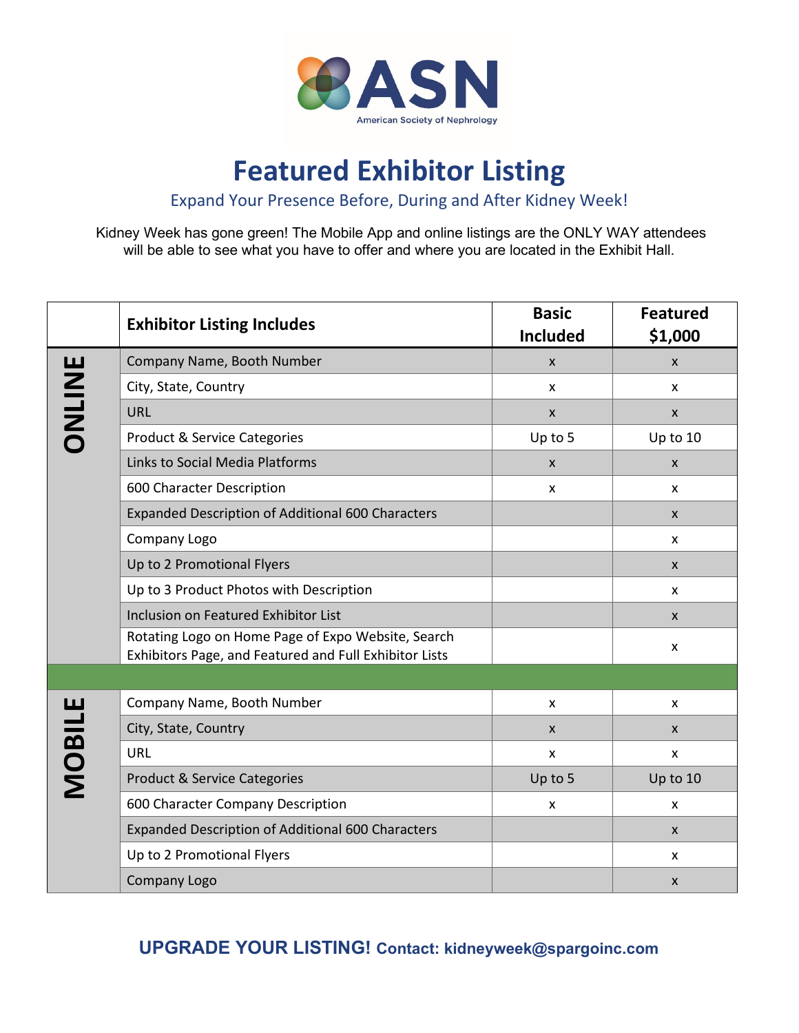

# **Featured Exhibitor Listing**

Expand Your Presence Before, During and After Kidney Week!

Kidney Week has gone green! The Mobile App and online listings are the ONLY WAY attendees will be able to see what you have to offer and where you are located in the Exhibit Hall.

|               | <b>Exhibitor Listing Includes</b>                                                                            | <b>Basic</b><br><b>Included</b> | <b>Featured</b><br>\$1,000 |  |
|---------------|--------------------------------------------------------------------------------------------------------------|---------------------------------|----------------------------|--|
| ONLINE        | Company Name, Booth Number                                                                                   | X                               | X                          |  |
|               | City, State, Country                                                                                         | x                               | X                          |  |
|               | URL                                                                                                          | $\mathsf{x}$                    | X                          |  |
|               | <b>Product &amp; Service Categories</b>                                                                      | Up to 5                         | Up to 10                   |  |
|               | Links to Social Media Platforms                                                                              | X                               | X                          |  |
|               | 600 Character Description                                                                                    | X                               | x                          |  |
|               | Expanded Description of Additional 600 Characters                                                            |                                 | $\mathsf{x}$               |  |
|               | Company Logo                                                                                                 |                                 | X                          |  |
|               | Up to 2 Promotional Flyers                                                                                   |                                 | $\pmb{\times}$             |  |
|               | Up to 3 Product Photos with Description                                                                      |                                 | X                          |  |
|               | Inclusion on Featured Exhibitor List                                                                         |                                 | X                          |  |
|               | Rotating Logo on Home Page of Expo Website, Search<br>Exhibitors Page, and Featured and Full Exhibitor Lists |                                 | X                          |  |
|               |                                                                                                              |                                 |                            |  |
| <b>MOBILE</b> | Company Name, Booth Number                                                                                   | x                               | X                          |  |
|               | City, State, Country                                                                                         | X                               | $\mathsf{x}$               |  |
|               | URL                                                                                                          | X                               | X                          |  |
|               | <b>Product &amp; Service Categories</b>                                                                      | Up to 5                         | Up to 10                   |  |
|               | 600 Character Company Description                                                                            | x                               | x                          |  |
|               | <b>Expanded Description of Additional 600 Characters</b>                                                     |                                 | X                          |  |
|               | Up to 2 Promotional Flyers                                                                                   |                                 | x                          |  |
|               | Company Logo                                                                                                 |                                 | X                          |  |

**UPGRADE YOUR LISTING! Contact: [kidneyweek@spargoinc.com](mailto:kidneyweek@spargoinc.com)**